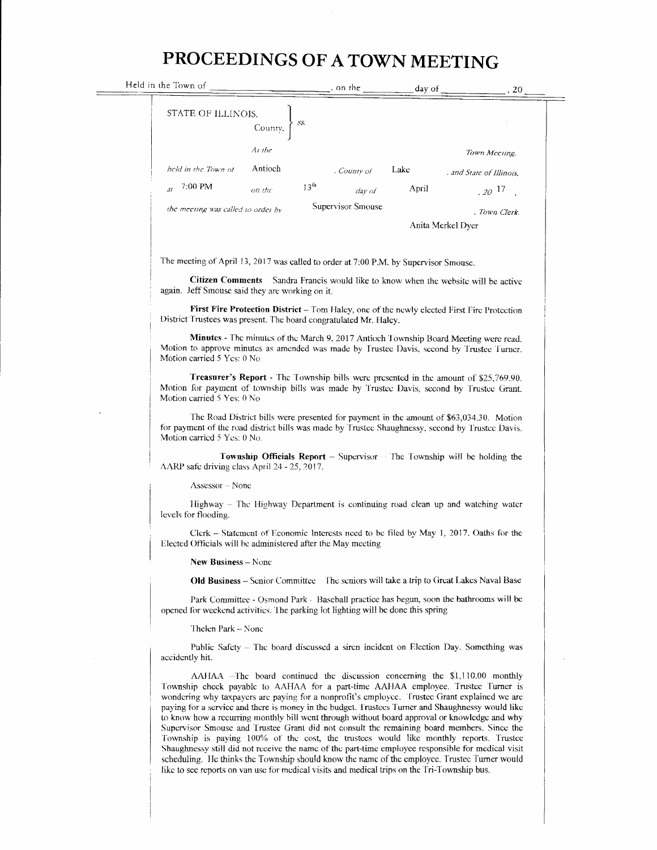## PROCEEDINGS OF A TOWN MEETING

| Held in the Town of                                                                                                                                                                                                                                                                                                                                                                                                                                                                                                                                                                                                                                                                                                                                                                                                                                                                                                                                                   |                   |                   | on the $\frac{1}{2}$ day of $\frac{1}{2}$ , 20 |
|-----------------------------------------------------------------------------------------------------------------------------------------------------------------------------------------------------------------------------------------------------------------------------------------------------------------------------------------------------------------------------------------------------------------------------------------------------------------------------------------------------------------------------------------------------------------------------------------------------------------------------------------------------------------------------------------------------------------------------------------------------------------------------------------------------------------------------------------------------------------------------------------------------------------------------------------------------------------------|-------------------|-------------------|------------------------------------------------|
| STATE OF ILLINOIS.<br>55.<br>County,                                                                                                                                                                                                                                                                                                                                                                                                                                                                                                                                                                                                                                                                                                                                                                                                                                                                                                                                  |                   |                   |                                                |
| At the                                                                                                                                                                                                                                                                                                                                                                                                                                                                                                                                                                                                                                                                                                                                                                                                                                                                                                                                                                |                   |                   | Town Meeting,                                  |
| Antioch<br>held in the Town of                                                                                                                                                                                                                                                                                                                                                                                                                                                                                                                                                                                                                                                                                                                                                                                                                                                                                                                                        | . County of       | Lake              | . and State of Illinois.                       |
| 7:00 PM<br>13 <sup>th</sup><br>at<br>on the                                                                                                                                                                                                                                                                                                                                                                                                                                                                                                                                                                                                                                                                                                                                                                                                                                                                                                                           | day of            | April             | $.20^{17}$                                     |
| the meeting was called to order by                                                                                                                                                                                                                                                                                                                                                                                                                                                                                                                                                                                                                                                                                                                                                                                                                                                                                                                                    | Supervisor Smouse | Anita Merkel Dyer | . Town Clerk.                                  |
| The meeting of April 13, 2017 was called to order at 7:00 P.M. by Supervisor Smouse.                                                                                                                                                                                                                                                                                                                                                                                                                                                                                                                                                                                                                                                                                                                                                                                                                                                                                  |                   |                   |                                                |
| Citizen Comments Sandra Francis would like to know when the website will be active<br>again. Jeff Smouse said they are working on it.                                                                                                                                                                                                                                                                                                                                                                                                                                                                                                                                                                                                                                                                                                                                                                                                                                 |                   |                   |                                                |
| First Fire Protection District – Tom Haley, one of the newly elected First Fire Protection<br>District Trustees was present. The board congratulated Mr. Haley.                                                                                                                                                                                                                                                                                                                                                                                                                                                                                                                                                                                                                                                                                                                                                                                                       |                   |                   |                                                |
| Minutes - The minutes of the March 9, 2017 Antioch Township Board Meeting were read.<br>Motion to approve minutes as amended was made by Trustee Davis, second by Trustee Turner.<br>Motion carried 5 Yes: 0 No                                                                                                                                                                                                                                                                                                                                                                                                                                                                                                                                                                                                                                                                                                                                                       |                   |                   |                                                |
| Treasurer's Report - The Township bills were presented in the amount of \$25,769.90.<br>Motion for payment of township bills was made by Trustee Davis, second by Trustee Grant.<br>Motion carried 5 Yes: 0 No                                                                                                                                                                                                                                                                                                                                                                                                                                                                                                                                                                                                                                                                                                                                                        |                   |                   |                                                |
| The Road District bills were presented for payment in the amount of \$63,034.30. Motion<br>for payment of the road district bills was made by Trustee Shaughnessy, second by Trustee Davis.<br>Motion carried 5 Yes: 0 No.                                                                                                                                                                                                                                                                                                                                                                                                                                                                                                                                                                                                                                                                                                                                            |                   |                   |                                                |
| <b>Township Officials Report</b> – Supervisor – The Township will be holding the<br>AARP safe driving class April 24 - 25, 2017.                                                                                                                                                                                                                                                                                                                                                                                                                                                                                                                                                                                                                                                                                                                                                                                                                                      |                   |                   |                                                |
| $Assessor - None$                                                                                                                                                                                                                                                                                                                                                                                                                                                                                                                                                                                                                                                                                                                                                                                                                                                                                                                                                     |                   |                   |                                                |
| Highway – The Highway Department is continuing road clean up and watching water<br>levels for flooding.                                                                                                                                                                                                                                                                                                                                                                                                                                                                                                                                                                                                                                                                                                                                                                                                                                                               |                   |                   |                                                |
| Clerk – Statement of Economic Interests need to be filed by May 1, 2017. Oaths for the<br>Elected Officials will be administered after the May meeting                                                                                                                                                                                                                                                                                                                                                                                                                                                                                                                                                                                                                                                                                                                                                                                                                |                   |                   |                                                |
| New Business - None                                                                                                                                                                                                                                                                                                                                                                                                                                                                                                                                                                                                                                                                                                                                                                                                                                                                                                                                                   |                   |                   |                                                |
| <b>Old Business</b> – Senior Committee The seniors will take a trip to Great Lakes Naval Base                                                                                                                                                                                                                                                                                                                                                                                                                                                                                                                                                                                                                                                                                                                                                                                                                                                                         |                   |                   |                                                |
| Park Committee - Osmond Park - Baseball practice has begun, soon the bathrooms will be<br>opened for weekend activities. The parking lot lighting will be done this spring                                                                                                                                                                                                                                                                                                                                                                                                                                                                                                                                                                                                                                                                                                                                                                                            |                   |                   |                                                |
| Thelen Park – None                                                                                                                                                                                                                                                                                                                                                                                                                                                                                                                                                                                                                                                                                                                                                                                                                                                                                                                                                    |                   |                   |                                                |
| Public Safety – The board discussed a siren incident on Election Day. Something was<br>accidently hit.                                                                                                                                                                                                                                                                                                                                                                                                                                                                                                                                                                                                                                                                                                                                                                                                                                                                |                   |                   |                                                |
| AAHAA –The board continued the discussion concerning the \$1,110.00 monthly<br>Township check payable to AAHAA for a part-time AAHAA employee. Trustee Turner is<br>wondering why taxpayers are paying for a nonprofit's employee. Trustee Grant explained we are<br>paying for a service and there is money in the budget. Trustees Turner and Shaughnessy would like<br>to know how a recurring monthly bill went through without board approval or knowledge and why<br>Supervisor Smouse and Trustee Grant did not consult the remaining board members. Since the<br>Township is paying 100% of the cost, the trustees would like monthly reports. Trustee<br>Shaughnessy still did not receive the name of the part-time employee responsible for medical visit<br>scheduling. He thinks the Township should know the name of the employee. Trustee Turner would<br>like to see reports on van use for medical visits and medical trips on the Tri-Township bus. |                   |                   |                                                |